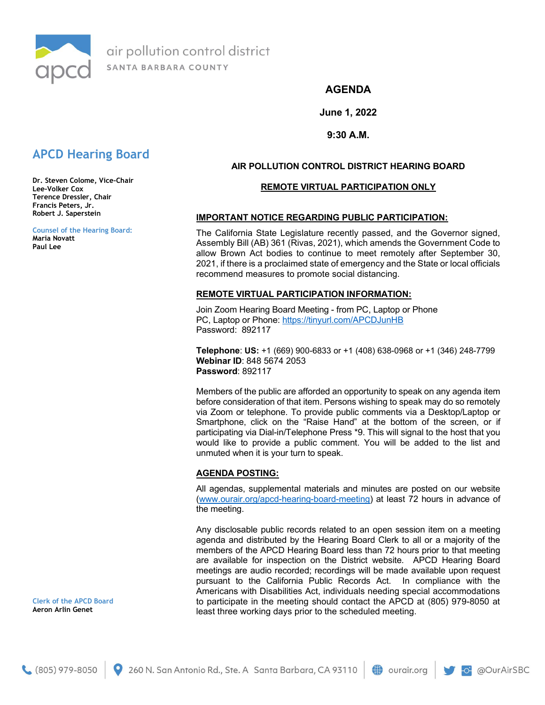

air pollution control district SANTA BARBARA COUNTY

# AGENDA

June 1, 2022

9:30 A.M.

# APCD Hearing Board

Dr. Steven Colome, Vice-Chair Lee-Volker Cox Terence Dressler, Chair Francis Peters, Jr. Robert J. Saperstein

Counsel of the Hearing Board: Maria Novatt Paul Lee

# AIR POLLUTION CONTROL DISTRICT HEARING BOARD

### REMOTE VIRTUAL PARTICIPATION ONLY

### IMPORTANT NOTICE REGARDING PUBLIC PARTICIPATION:

The California State Legislature recently passed, and the Governor signed, Assembly Bill (AB) 361 (Rivas, 2021), which amends the Government Code to allow Brown Act bodies to continue to meet remotely after September 30, 2021, if there is a proclaimed state of emergency and the State or local officials recommend measures to promote social distancing.

### REMOTE VIRTUAL PARTICIPATION INFORMATION:

Join Zoom Hearing Board Meeting - from PC, Laptop or Phone PC, Laptop or Phone: https://tinyurl.com/APCDJunHB Password: 892117

Telephone: US: +1 (669) 900-6833 or +1 (408) 638-0968 or +1 (346) 248-7799 Webinar ID: 848 5674 2053 Password: 892117

Members of the public are afforded an opportunity to speak on any agenda item before consideration of that item. Persons wishing to speak may do so remotely via Zoom or telephone. To provide public comments via a Desktop/Laptop or Smartphone, click on the "Raise Hand" at the bottom of the screen, or if participating via Dial-in/Telephone Press \*9. This will signal to the host that you would like to provide a public comment. You will be added to the list and unmuted when it is your turn to speak.

# AGENDA POSTING:

All agendas, supplemental materials and minutes are posted on our website (www.ourair.org/apcd-hearing-board-meeting) at least 72 hours in advance of the meeting.

Any disclosable public records related to an open session item on a meeting agenda and distributed by the Hearing Board Clerk to all or a majority of the members of the APCD Hearing Board less than 72 hours prior to that meeting are available for inspection on the District website. APCD Hearing Board meetings are audio recorded; recordings will be made available upon request pursuant to the California Public Records Act. In compliance with the Americans with Disabilities Act, individuals needing special accommodations to participate in the meeting should contact the APCD at (805) 979-8050 at least three working days prior to the scheduled meeting.

Clerk of the APCD Board Aeron Arlin Genet